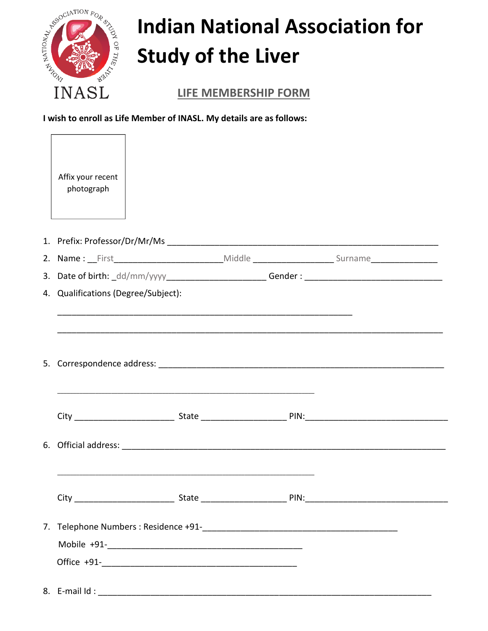

 $\Gamma$ 

## **Indian National Association for Study of the Liver**

**LIFE MEMBERSHIP FORM** 

I wish to enroll as Life Member of INASL. My details are as follows:

٦

| Affix your recent<br>photograph     |                                                                                   |  |  |  |  |
|-------------------------------------|-----------------------------------------------------------------------------------|--|--|--|--|
|                                     |                                                                                   |  |  |  |  |
|                                     |                                                                                   |  |  |  |  |
|                                     | 3. Date of birth: _dd/mm/yyyy_________________________Gender: ___________________ |  |  |  |  |
| 4. Qualifications (Degree/Subject): |                                                                                   |  |  |  |  |
|                                     | <u> 1989 - Johann Stoff, amerikansk politiker (d. 1989)</u>                       |  |  |  |  |
|                                     |                                                                                   |  |  |  |  |
|                                     |                                                                                   |  |  |  |  |
|                                     |                                                                                   |  |  |  |  |
|                                     |                                                                                   |  |  |  |  |
|                                     |                                                                                   |  |  |  |  |
|                                     |                                                                                   |  |  |  |  |
|                                     |                                                                                   |  |  |  |  |
| 8. E-mail $Id$ :                    |                                                                                   |  |  |  |  |